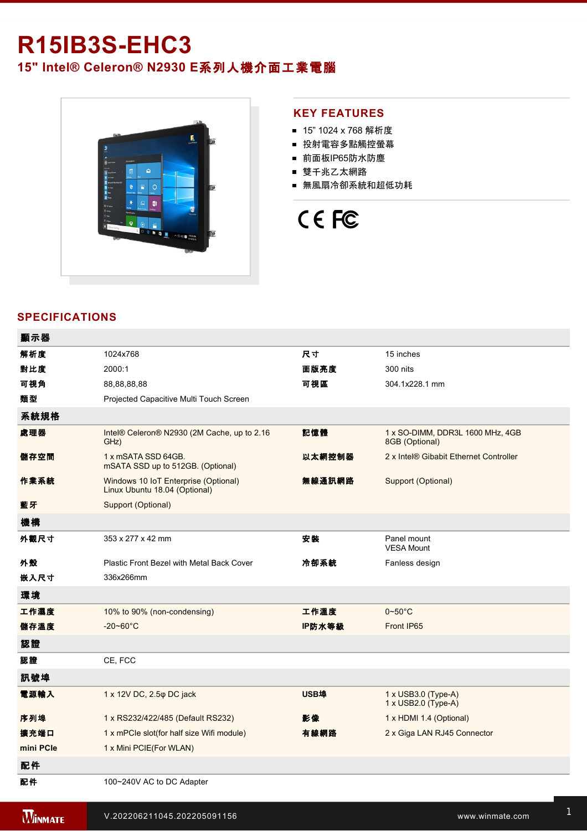## **R15IB3SEHC3**

**15" Intel® Celeron® N2930 E**系列人機介面工業電腦



#### **KEY FEATURES**

- 15" 1024 x 768 解析度
- 投射電容多點觸控螢幕
- 前面板IP65防水防塵
- 雙千兆乙太網路
- 無風扇冷卻系統和超低功耗

# CE FC

#### **SPECIFICATIONS**

| 顯示器       |                                                                       |             |                                                    |
|-----------|-----------------------------------------------------------------------|-------------|----------------------------------------------------|
| 解析度       | 1024x768                                                              | 尺寸          | 15 inches                                          |
| 對比度       | 2000:1                                                                | 面版亮度        | 300 nits                                           |
| 可視角       | 88,88,88,88                                                           | 可視區         | 304.1x228.1 mm                                     |
| 類型        | Projected Capacitive Multi Touch Screen                               |             |                                                    |
| 系統規格      |                                                                       |             |                                                    |
| 處理器       | Intel® Celeron® N2930 (2M Cache, up to 2.16<br>GHz)                   | 記憶體         | 1 x SO-DIMM, DDR3L 1600 MHz, 4GB<br>8GB (Optional) |
| 儲存空間      | 1 x mSATA SSD 64GB.<br>mSATA SSD up to 512GB. (Optional)              | 以太網控制器      | 2 x Intel® Gibabit Ethernet Controller             |
| 作業系統      | Windows 10 IoT Enterprise (Optional)<br>Linux Ubuntu 18.04 (Optional) | 無線通訊網路      | Support (Optional)                                 |
| 藍牙        | Support (Optional)                                                    |             |                                                    |
| 機構        |                                                                       |             |                                                    |
| 外觀尺寸      | 353 x 277 x 42 mm                                                     | 安装          | Panel mount<br><b>VESA Mount</b>                   |
| 外殼        | Plastic Front Bezel with Metal Back Cover                             | 冷卻系統        | Fanless design                                     |
| 嵌入尺寸      | 336x266mm                                                             |             |                                                    |
| 環境        |                                                                       |             |                                                    |
| 工作濕度      | 10% to 90% (non-condensing)                                           | 工作溫度        | $0\nightharpoonup 50^\circ C$                      |
| 儲存溫度      | $-20 - 60^{\circ}$ C                                                  | IP防水等級      | Front IP65                                         |
| 認證        |                                                                       |             |                                                    |
| 認證        | CE, FCC                                                               |             |                                                    |
| 訊號埠       |                                                                       |             |                                                    |
| 電源輸入      | 1 x 12V DC, 2.5 $\varphi$ DC jack                                     | <b>USB埠</b> | 1 x USB3.0 (Type-A)<br>1 x USB2.0 (Type-A)         |
| 序列埠       | 1 x RS232/422/485 (Default RS232)                                     | 影像          | 1 x HDMI 1.4 (Optional)                            |
| 擴充端口      | 1 x mPCle slot(for half size Wifi module)                             | 有線網路        | 2 x Giga LAN RJ45 Connector                        |
| mini PCle | 1 x Mini PCIE(For WLAN)                                               |             |                                                    |
| 配件        |                                                                       |             |                                                    |
| 配件        | 100~240V AC to DC Adapter                                             |             |                                                    |
|           |                                                                       |             |                                                    |

**WINMATE**